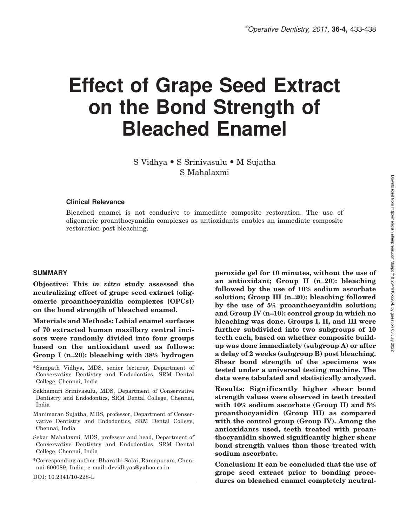# Effect of Grape Seed Extract on the Bond Strength of Bleached Enamel

S Vidhya · S Srinivasulu · M Sujatha S Mahalaxmi

#### Clinical Relevance

Bleached enamel is not conducive to immediate composite restoration. The use of oligomeric proanthocyanidin complexes as antioxidants enables an immediate composite restoration post bleaching.

#### SUMMARY

Objective: This in vitro study assessed the neutralizing effect of grape seed extract (oligomeric proanthocyanidin complexes [OPCs]) on the bond strength of bleached enamel.

Materials and Methods: Labial enamel surfaces of 70 extracted human maxillary central incisors were randomly divided into four groups based on the antioxidant used as follows: Group I ( $n=20$ ): bleaching with 38% hydrogen

- Manimaran Sujatha, MDS, professor, Department of Conservative Dentistry and Endodontics, SRM Dental College, Chennai, India
- Sekar Mahalaxmi, MDS, professor and head, Department of Conservative Dentistry and Endodontics, SRM Dental College, Chennai, India
- \*Corresponding author: Bharathi Salai, Ramapuram, Chennai-600089, India; e-mail: drvidhyas@yahoo.co.in

DOI: 10.2341/10-228-L

peroxide gel for 10 minutes, without the use of an antioxidant; Group II  $(n=20)$ : bleaching followed by the use of 10% sodium ascorbate solution; Group III  $(n=20)$ : bleaching followed by the use of 5% proanthocyanidin solution; and Group IV  $(n=10)$ : control group in which no bleaching was done. Groups I, II, and III were further subdivided into two subgroups of 10 teeth each, based on whether composite buildup was done immediately (subgroup A) or after a delay of 2 weeks (subgroup B) post bleaching. Shear bond strength of the specimens was tested under a universal testing machine. The data were tabulated and statistically analyzed.

Results: Significantly higher shear bond strength values were observed in teeth treated with  $10\%$  sodium ascorbate (Group II) and  $5\%$ proanthocyanidin (Group III) as compared with the control group (Group IV). Among the antioxidants used, teeth treated with proanthocyanidin showed significantly higher shear bond strength values than those treated with sodium ascorbate.

Conclusion: It can be concluded that the use of grape seed extract prior to bonding procedures on bleached enamel completely neutral-

<sup>\*</sup>Sampath Vidhya, MDS, senior lecturer, Department of Conservative Dentistry and Endodontics, SRM Dental College, Chennai, India

Sakhamuri Srinivasulu, MDS, Department of Conservative Dentistry and Endodontics, SRM Dental College, Chennai, India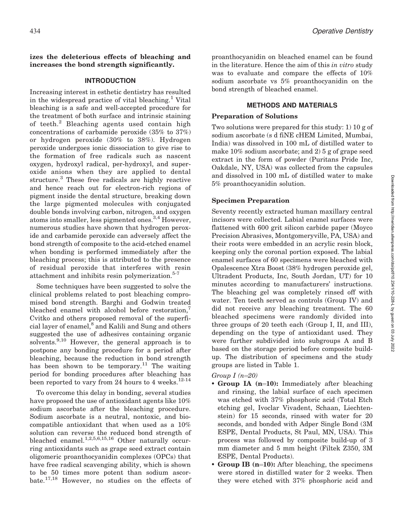#### izes the deleterious effects of bleaching and increases the bond strength significantly.

#### INTRODUCTION

Increasing interest in esthetic dentistry has resulted in the widespread practice of vital bleaching.<sup>1</sup> Vital bleaching is a safe and well-accepted procedure for the treatment of both surface and intrinsic staining of teeth.<sup>2</sup> Bleaching agents used contain high concentrations of carbamide peroxide (35% to 37%) or hydrogen peroxide (30% to 38%). Hydrogen peroxide undergoes ionic dissociation to give rise to the formation of free radicals such as nascent oxygen, hydroxyl radical, per-hydroxyl, and superoxide anions when they are applied to dental structure.<sup>3</sup> These free radicals are highly reactive and hence reach out for electron-rich regions of pigment inside the dental structure, breaking down the large pigmented molecules with conjugated double bonds involving carbon, nitrogen, and oxygen atoms into smaller, less pigmented ones.<sup>3,4</sup> However, numerous studies have shown that hydrogen peroxide and carbamide peroxide can adversely affect the bond strength of composite to the acid-etched enamel when bonding is performed immediately after the bleaching process; this is attributed to the presence of residual peroxide that interferes with resin attachment and inhibits resin polymerization.<sup>5-7</sup>

Some techniques have been suggested to solve the clinical problems related to post bleaching compromised bond strength. Barghi and Godwin treated bleached enamel with alcohol before restoration,<sup>7</sup> Cvitko and others proposed removal of the superficial layer of enamel, $\overline{\text{8}}$  and Kalili and Sung and others suggested the use of adhesives containing organic solvents.<sup>9,10</sup> However, the general approach is to postpone any bonding procedure for a period after bleaching, because the reduction in bond strength has been shown to be temporary.<sup>11</sup> The waiting period for bonding procedures after bleaching has been reported to vary from 24 hours to 4 weeks. $12-14$ 

To overcome this delay in bonding, several studies have proposed the use of antioxidant agents like 10% sodium ascorbate after the bleaching procedure. Sodium ascorbate is a neutral, nontoxic, and biocompatible antioxidant that when used as a 10% solution can reverse the reduced bond strength of bleached enamel.<sup>1,2,5,6,15,16</sup> Other naturally occurring antioxidants such as grape seed extract contain oligomeric proanthocyanidin complexes (OPCs) that have free radical scavenging ability, which is shown to be 50 times more potent than sodium ascorbate.17,18 However, no studies on the effects of proanthocyanidin on bleached enamel can be found in the literature. Hence the aim of this in vitro study was to evaluate and compare the effects of 10% sodium ascorbate vs 5% proanthocyanidin on the bond strength of bleached enamel.

#### METHODS AND MATERIALS

#### Preparation of Solutions

Two solutions were prepared for this study: 1) 10 g of sodium ascorbate (s d fiNE cHEM Limited, Mumbai, India) was dissolved in 100 mL of distilled water to make 10% sodium ascorbate; and 2) 5 g of grape seed extract in the form of powder (Puritans Pride Inc, Oakdale, NY, USA) was collected from the capsules and dissolved in 100 mL of distilled water to make 5% proanthocyanidin solution.

## Specimen Preparation

Seventy recently extracted human maxillary central incisors were collected. Labial enamel surfaces were flattened with 600 grit silicon carbide paper (Moyco Precision Abrasives, Montgomeryville, PA, USA) and their roots were embedded in an acrylic resin block, keeping only the coronal portion exposed. The labial enamel surfaces of 60 specimens were bleached with Opalescence Xtra Boost (38% hydrogen peroxide gel, Ultradent Products, Inc, South Jordan, UT) for 10 minutes according to manufacturers' instructions. The bleaching gel was completely rinsed off with water. Ten teeth served as controls (Group IV) and did not receive any bleaching treatment. The 60 bleached specimens were randomly divided into three groups of 20 teeth each (Group I, II, and III), depending on the type of antioxidant used. They were further subdivided into subgroups A and B based on the storage period before composite buildup. The distribution of specimens and the study groups are listed in Table 1.

#### Group  $I(n=20)$

- Group IA (n=10): Immediately after bleaching and rinsing, the labial surface of each specimen was etched with 37% phosphoric acid (Total Etch etching gel, Ivoclar Vivadent, Schaan, Liechtenstein) for 15 seconds, rinsed with water for 20 seconds, and bonded with Adper Single Bond (3M ESPE, Dental Products, St Paul, MN, USA). This process was followed by composite build-up of 3 mm diameter and 5 mm height (Filtek Z350, 3M ESPE, Dental Products).
- Group IB (n=10): After bleaching, the specimens were stored in distilled water for 2 weeks. Then they were etched with 37% phosphoric acid and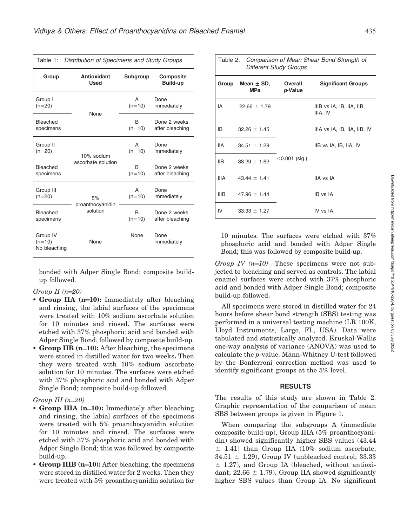| Table 1:                             | Distribution of Specimens and Study Groups |              |                              |  |
|--------------------------------------|--------------------------------------------|--------------|------------------------------|--|
| Group                                | <b>Antioxidant</b><br><b>Used</b>          | Subgroup     | Composite<br><b>Build-up</b> |  |
| Group I                              | None                                       | A            | Done                         |  |
| $(n=20)$                             |                                            | $(n=10)$     | immediately                  |  |
| Bleached                             |                                            | B            | Done 2 weeks                 |  |
| specimens                            |                                            | $(n=10)$     | after bleaching              |  |
| Group II                             | 10% sodium                                 | A            | Done                         |  |
| $(n=20)$                             |                                            | $(n=10)$     | immediately                  |  |
| Bleached                             | ascorbate solution                         | <sub>B</sub> | Done 2 weeks                 |  |
| specimens                            |                                            | $(n=10)$     | after bleaching              |  |
| Group III                            | 5%                                         | A            | Done                         |  |
| $(n=20)$                             |                                            | $(n=10)$     | immediately                  |  |
| <b>Bleached</b>                      | proanthocyanidin                           | B            | Done 2 weeks                 |  |
| specimens                            | solution                                   | $(n=10)$     | after bleaching              |  |
| Group IV<br>$(n=10)$<br>No bleaching | None                                       | None         | Done<br>immediately          |  |

bonded with Adper Single Bond; composite buildup followed.

#### Group II  $(n=20)$

- Group IIA (n=10): Immediately after bleaching and rinsing, the labial surfaces of the specimens were treated with 10% sodium ascorbate solution for 10 minutes and rinsed. The surfaces were etched with 37% phosphoric acid and bonded with Adper Single Bond, followed by composite build-up.
- Group IIB  $(n=10)$ : After bleaching, the specimens were stored in distilled water for two weeks. Then they were treated with 10% sodium ascorbate solution for 10 minutes. The surfaces were etched with 37% phosphoric acid and bonded with Adper Single Bond; composite build-up followed.

# Group III  $(n=20)$

- Group IIIA (n=10): Immediately after bleaching and rinsing, the labial surfaces of the specimens were treated with 5% proanthocyanidin solution for 10 minutes and rinsed. The surfaces were etched with 37% phosphoric acid and bonded with Adper Single Bond; this was followed by composite build-up.
- Group IIIB (n=10): After bleaching, the specimens were stored in distilled water for 2 weeks. Then they were treated with 5% proanthocyanidin solution for

| Table 2: Comparison of Mean Shear Bond Strength of<br><b>Different Study Groups</b> |                               |                  |                                       |  |
|-------------------------------------------------------------------------------------|-------------------------------|------------------|---------------------------------------|--|
| Group                                                                               | Mean $\pm$ SD, Overall<br>MPa | p-Value          | <b>Significant Groups</b>             |  |
| IA                                                                                  | $22.66 \pm 1.79$              |                  | IIIB vs IA, IB, IIA, IIB,<br>IIIA, IV |  |
| IB.                                                                                 | $32.26 \pm 1.45$              |                  | IIIA vs IA, IB, IIA, IIB, IV          |  |
| IIA                                                                                 | $34.51 \pm 1.29$              |                  | IIB vs IA, IB, IIA, IV                |  |
| IIB.                                                                                | $38.29 \pm 1.62$              | $<$ 0.001 (sig.) |                                       |  |
| <b>IIIA</b>                                                                         | $43.44 \pm 1.41$              |                  | IIA vs IA                             |  |
| IIIB.                                                                               | $47.96 \pm 1.44$              |                  | IB vs IA                              |  |
| IV                                                                                  | $33.33 \pm 1.27$              |                  | IV vs IA                              |  |

10 minutes. The surfaces were etched with 37% phosphoric acid and bonded with Adper Single Bond; this was followed by composite build-up.

Group IV  $(n=10)$ —These specimens were not subjected to bleaching and served as controls. The labial enamel surfaces were etched with 37% phosphoric acid and bonded with Adper Single Bond; composite build-up followed.

All specimens were stored in distilled water for 24 hours before shear bond strength (SBS) testing was performed in a universal testing machine (LR 100K, Lloyd Instruments, Largo, FL, USA). Data were tabulated and statistically analyzed. Kruskal-Wallis one-way analysis of variance (ANOVA) was used to calculate the p-value. Mann-Whitney U-test followed by the Bonferroni correction method was used to identify significant groups at the 5% level.

# RESULTS

The results of this study are shown in Table 2. Graphic representation of the comparison of mean SBS between groups is given in Figure 1.

When comparing the subgroups A (immediate composite build-up), Group IIIA (5% proanthocyanidin) showed significantly higher SBS values (43.44  $±$  1.41) than Group IIA (10% sodium ascorbate;  $34.51 \pm 1.29$ ), Group IV (unbleached control; 33.33  $±$  1.27), and Group IA (bleached, without antioxidant;  $22.66 \pm 1.79$ ). Group IIA showed significantly higher SBS values than Group IA. No significant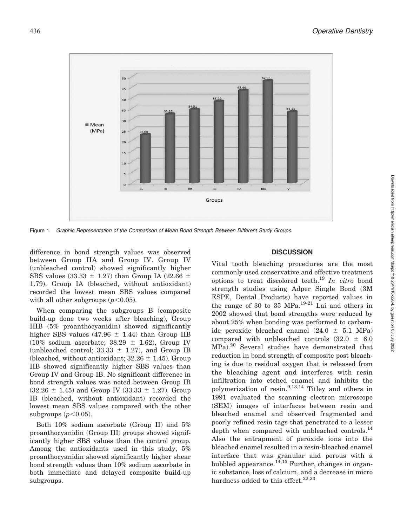

Figure 1. Graphic Representation of the Comparison of Mean Bond Strength Between Different Study Groups.

difference in bond strength values was observed between Group IIA and Group IV. Group IV (unbleached control) showed significantly higher SBS values (33.33  $\pm$  1.27) than Group IA (22.66  $\pm$ 1.79). Group IA (bleached, without antioxidant) recorded the lowest mean SBS values compared with all other subgroups  $(p<0.05)$ .

When comparing the subgroups B (composite build-up done two weeks after bleaching), Group IIIB (5% proanthocyanidin) showed significantly higher SBS values (47.96  $\pm$  1.44) than Group IIB  $(10\% \text{ sodium}$  ascorbate;  $38.29 \pm 1.62$ ), Group IV (unbleached control; 33.33  $\pm$  1.27), and Group IB (bleached, without antioxidant;  $32.26 \pm 1.45$ ). Group IIB showed significantly higher SBS values than Group IV and Group IB. No significant difference in bond strength values was noted between Group IB  $(32.26 \pm 1.45)$  and Group IV  $(33.33 \pm 1.27)$ . Group IB (bleached, without antioxidant) recorded the lowest mean SBS values compared with the other subgroups  $(p<0.05)$ .

Both 10% sodium ascorbate (Group II) and 5% proanthocyanidin (Group III) groups showed significantly higher SBS values than the control group. Among the antioxidants used in this study, 5% proanthocyanidin showed significantly higher shear bond strength values than 10% sodium ascorbate in both immediate and delayed composite build-up subgroups.

## **DISCUSSION**

Vital tooth bleaching procedures are the most commonly used conservative and effective treatment options to treat discolored teeth.<sup>19</sup> In vitro bond strength studies using Adper Single Bond (3M ESPE, Dental Products) have reported values in the range of 30 to 35 MPa.<sup>19-21</sup> Lai and others in 2002 showed that bond strengths were reduced by about 25% when bonding was performed to carbamide peroxide bleached enamel  $(24.0 \pm 5.1 \text{ MPa})$ compared with unbleached controls  $(32.0 \pm 6.0)$ MPa).<sup>20</sup> Several studies have demonstrated that reduction in bond strength of composite post bleaching is due to residual oxygen that is released from the bleaching agent and interferes with resin infiltration into etched enamel and inhibits the polymerization of resin.9,13,14 Titley and others in 1991 evaluated the scanning electron microscope (SEM) images of interfaces between resin and bleached enamel and observed fragmented and poorly refined resin tags that penetrated to a lesser depth when compared with unbleached controls.<sup>14</sup> Also the entrapment of peroxide ions into the bleached enamel resulted in a resin-bleached enamel interface that was granular and porous with a bubbled appearance.<sup>14,15</sup> Further, changes in organic substance, loss of calcium, and a decrease in micro hardness added to this effect.<sup>22,23</sup>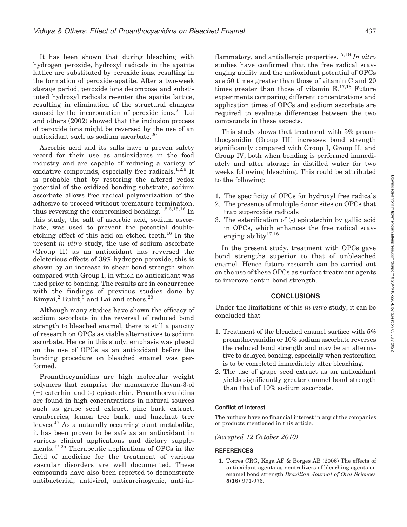It has been shown that during bleaching with hydrogen peroxide, hydroxyl radicals in the apatite lattice are substituted by peroxide ions, resulting in the formation of peroxide-apatite. After a two-week storage period, peroxide ions decompose and substituted hydroxyl radicals re-enter the apatite lattice, resulting in elimination of the structural changes caused by the incorporation of peroxide ions.<sup>24</sup> Lai and others (2002) showed that the inclusion process of peroxide ions might be reversed by the use of an antioxidant such as sodium ascorbate.<sup>20</sup>

Ascorbic acid and its salts have a proven safety record for their use as antioxidants in the food industry and are capable of reducing a variety of oxidative compounds, especially free radicals. $1,2,6$  It is probable that by restoring the altered redox potential of the oxidized bonding substrate, sodium ascorbate allows free radical polymerization of the adhesive to proceed without premature termination, thus reversing the compromised bonding.<sup>1,2,6,15,16</sup> In this study, the salt of ascorbic acid, sodium ascorbate, was used to prevent the potential doubleetching effect of this acid on etched teeth.<sup>16</sup> In the present in vitro study, the use of sodium ascorbate (Group II) as an antioxidant has reversed the deleterious effects of 38% hydrogen peroxide; this is shown by an increase in shear bond strength when compared with Group I, in which no antioxidant was used prior to bonding. The results are in concurrence with the findings of previous studies done by Kimyai, $^2$  Bulut, $^5$  and Lai and others. $^{20}$ 

Although many studies have shown the efficacy of sodium ascorbate in the reversal of reduced bond strength to bleached enamel, there is still a paucity of research on OPCs as viable alternatives to sodium ascorbate. Hence in this study, emphasis was placed on the use of OPCs as an antioxidant before the bonding procedure on bleached enamel was performed.

Proanthocyanidins are high molecular weight polymers that comprise the monomeric flavan-3-ol  $(+)$  catechin and  $(-)$  epicatechin. Proanthocyanidins are found in high concentrations in natural sources such as grape seed extract, pine bark extract, cranberries, lemon tree bark, and hazelnut tree leaves.<sup>17</sup> As a naturally occurring plant metabolite, it has been proven to be safe as an antioxidant in various clinical applications and dietary supplements.<sup>17,25</sup> Therapeutic applications of OPCs in the field of medicine for the treatment of various vascular disorders are well documented. These compounds have also been reported to demonstrate antibacterial, antiviral, anticarcinogenic, anti-inflammatory, and antiallergic properties.<sup>17,18</sup> In vitro studies have confirmed that the free radical scavenging ability and the antioxidant potential of OPCs are 50 times greater than those of vitamin C and 20 times greater than those of vitamin  $E^{17,18}$  Future experiments comparing different concentrations and application times of OPCs and sodium ascorbate are required to evaluate differences between the two compounds in these aspects.

This study shows that treatment with 5% proanthocyanidin (Group III) increases bond strength significantly compared with Group I, Group II, and Group IV, both when bonding is performed immediately and after storage in distilled water for two weeks following bleaching. This could be attributed to the following:

- 1. The specificity of OPCs for hydroxyl free radicals
- 2. The presence of multiple donor sites on OPCs that trap superoxide radicals
- 3. The esterification of (-) epicatechin by gallic acid in OPCs, which enhances the free radical scavenging ability<sup>17,18</sup>

In the present study, treatment with OPCs gave bond strengths superior to that of unbleached enamel. Hence future research can be carried out on the use of these OPCs as surface treatment agents to improve dentin bond strength.

#### **CONCLUSIONS**

Under the limitations of this in vitro study, it can be concluded that

- 1. Treatment of the bleached enamel surface with 5% proanthocyanidin or 10% sodium ascorbate reverses the reduced bond strength and may be an alternative to delayed bonding, especially when restoration is to be completed immediately after bleaching.
- 2. The use of grape seed extract as an antioxidant yields significantly greater enamel bond strength than that of 10% sodium ascorbate.

#### Conflict of Interest

The authors have no financial interest in any of the companies or products mentioned in this article.

#### (Accepted 12 October 2010)

#### **REFERENCES**

1. Torres CRG, Koga AF & Borges AB (2006) The effects of antioxidant agents as neutralizers of bleaching agents on enamel bond strength Brazilian Journal of Oral Sciences 5(16) 971-976.